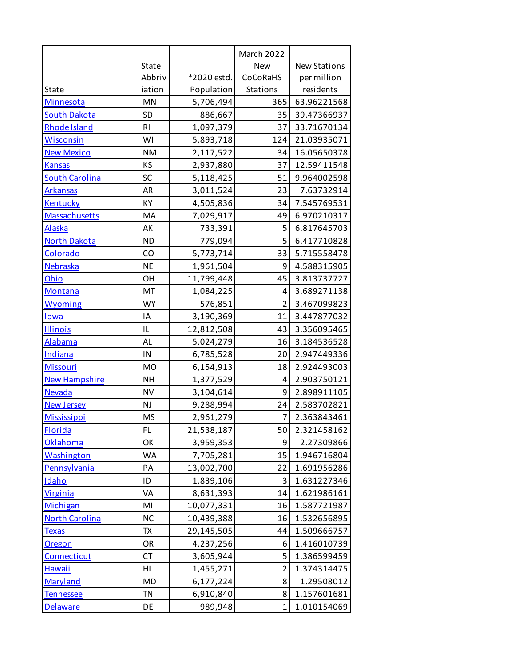|                       |                |             | March 2022     |                     |
|-----------------------|----------------|-------------|----------------|---------------------|
|                       | <b>State</b>   |             | <b>New</b>     | <b>New Stations</b> |
|                       | Abbriv         | *2020 estd. | CoCoRaHS       | per million         |
| State                 | iation         | Population  | Stations       | residents           |
| Minnesota             | <b>MN</b>      | 5,706,494   | 365            | 63.96221568         |
| <b>South Dakota</b>   | <b>SD</b>      | 886,667     | 35             | 39.47366937         |
| Rhode Island          | R <sub>l</sub> | 1,097,379   | 37             | 33.71670134         |
| <b>Wisconsin</b>      | WI             | 5,893,718   | 124            | 21.03935071         |
| <b>New Mexico</b>     | <b>NM</b>      | 2,117,522   | 34             | 16.05650378         |
| <b>Kansas</b>         | KS             | 2,937,880   | 37             | 12.59411548         |
| <b>South Carolina</b> | SC             | 5,118,425   | 51             | 9.964002598         |
| <b>Arkansas</b>       | <b>AR</b>      | 3,011,524   | 23             | 7.63732914          |
| Kentucky              | KY             | 4,505,836   | 34             | 7.545769531         |
| Massachusetts         | MA             | 7,029,917   | 49             | 6.970210317         |
| <b>Alaska</b>         | AK             | 733,391     | 5              | 6.817645703         |
| <b>North Dakota</b>   | <b>ND</b>      | 779,094     | 5              | 6.417710828         |
| Colorado              | CO             | 5,773,714   | 33             | 5.715558478         |
| Nebraska              | <b>NE</b>      | 1,961,504   | 9              | 4.588315905         |
| Ohio                  | OH             | 11,799,448  | 45             | 3.813737727         |
| Montana               | MT             | 1,084,225   | 4              | 3.689271138         |
| <b>Wyoming</b>        | <b>WY</b>      | 576,851     | $\overline{2}$ | 3.467099823         |
| lowa                  | IA             | 3,190,369   | 11             | 3.447877032         |
| <b>Illinois</b>       | IL             | 12,812,508  | 43             | 3.356095465         |
| Alabama               | AL             | 5,024,279   | 16             | 3.184536528         |
| <b>Indiana</b>        | IN             | 6,785,528   | 20             | 2.947449336         |
| <b>Missouri</b>       | <b>MO</b>      | 6,154,913   | 18             | 2.924493003         |
| <b>New Hampshire</b>  | <b>NH</b>      | 1,377,529   | 4              | 2.903750121         |
| <b>Nevada</b>         | <b>NV</b>      | 3,104,614   | 9              | 2.898911105         |
| <b>New Jersey</b>     | <b>NJ</b>      | 9,288,994   | 24             | 2.583702821         |
| <b>Mississippi</b>    | <b>MS</b>      | 2,961,279   | $\overline{7}$ | 2.363843461         |
| <b>Florida</b>        | FL             | 21,538,187  | 50             | 2.321458162         |
| Oklahoma              | OK             | 3,959,353   | 9              | 2.27309866          |
| Washington            | WA             | 7,705,281   | 15             | 1.946716804         |
| Pennsylvania          | PA             | 13,002,700  | 22             | 1.691956286         |
| Idaho                 | ID             | 1,839,106   | 3              | 1.631227346         |
| <b>Virginia</b>       | VA             | 8,631,393   | 14             | 1.621986161         |
| Michigan              | MI             | 10,077,331  | 16             | 1.587721987         |
| <b>North Carolina</b> | <b>NC</b>      | 10,439,388  | 16             | 1.532656895         |
| <b>Texas</b>          | TX             | 29,145,505  | 44             | 1.509666757         |
| <b>Oregon</b>         | OR             | 4,237,256   | 6              | 1.416010739         |
| Connecticut           | <b>CT</b>      | 3,605,944   | 5              | 1.386599459         |
| <b>Hawaii</b>         | HI             | 1,455,271   | $\overline{2}$ | 1.374314475         |
| Maryland              | <b>MD</b>      | 6,177,224   | 8              | 1.29508012          |
| Tennessee             | <b>TN</b>      | 6,910,840   | 8              | 1.157601681         |
| <b>Delaware</b>       | DE             | 989,948     | 1              | 1.010154069         |